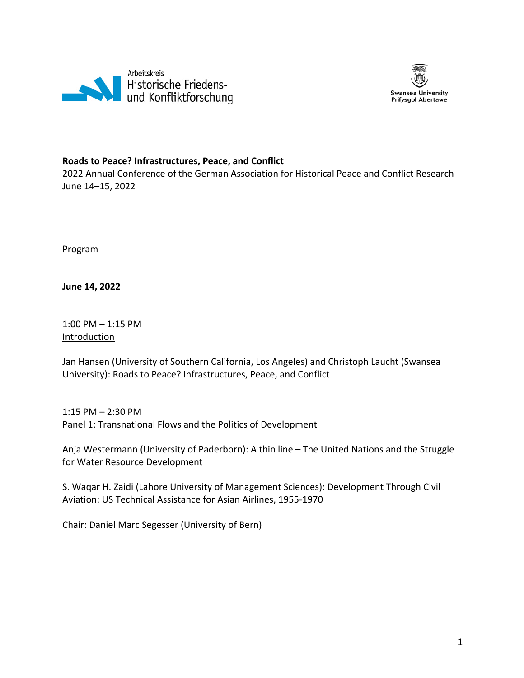



### **Roads to Peace? Infrastructures, Peace, and Conflict**

2022 Annual Conference of the German Association for Historical Peace and Conflict Research June 14–15, 2022

Program

**June 14, 2022**

1:00 PM – 1:15 PM Introduction

Jan Hansen (University of Southern California, Los Angeles) and Christoph Laucht (Swansea University): Roads to Peace? Infrastructures, Peace, and Conflict

1:15 PM – 2:30 PM Panel 1: Transnational Flows and the Politics of Development

Anja Westermann (University of Paderborn): A thin line – The United Nations and the Struggle for Water Resource Development

S. Waqar H. Zaidi (Lahore University of Management Sciences): Development Through Civil Aviation: US Technical Assistance for Asian Airlines, 1955-1970

Chair: Daniel Marc Segesser (University of Bern)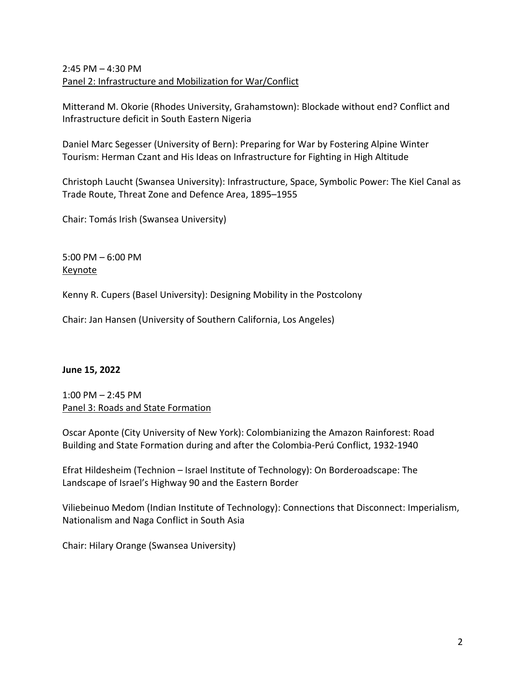# 2:45 PM – 4:30 PM Panel 2: Infrastructure and Mobilization for War/Conflict

Mitterand M. Okorie (Rhodes University, Grahamstown): Blockade without end? Conflict and Infrastructure deficit in South Eastern Nigeria

Daniel Marc Segesser (University of Bern): Preparing for War by Fostering Alpine Winter Tourism: Herman Czant and His Ideas on Infrastructure for Fighting in High Altitude

Christoph Laucht (Swansea University): Infrastructure, Space, Symbolic Power: The Kiel Canal as Trade Route, Threat Zone and Defence Area, 1895–1955

Chair: Tomás Irish (Swansea University)

5:00 PM – 6:00 PM Keynote

Kenny R. Cupers (Basel University): Designing Mobility in the Postcolony

Chair: Jan Hansen (University of Southern California, Los Angeles)

### **June 15, 2022**

1:00 PM – 2:45 PM Panel 3: Roads and State Formation

Oscar Aponte (City University of New York): Colombianizing the Amazon Rainforest: Road Building and State Formation during and after the Colombia-Perú Conflict, 1932-1940

Efrat Hildesheim (Technion – Israel Institute of Technology): On Borderoadscape: The Landscape of Israel's Highway 90 and the Eastern Border

Viliebeinuo Medom (Indian Institute of Technology): Connections that Disconnect: Imperialism, Nationalism and Naga Conflict in South Asia

Chair: Hilary Orange (Swansea University)